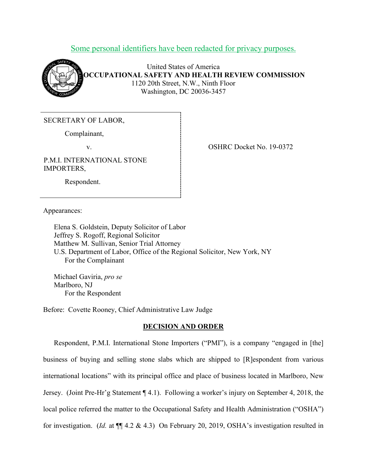# Some personal identifiers have been redacted for privacy purposes.



United States of America **OCCUPATIONAL SAFETY AND HEALTH REVIEW COMMISSION** 1120 20th Street, N.W., Ninth Floor Washington, DC 20036-3457

SECRETARY OF LABOR,

Complainant,

Respondent.

P.M.I. INTERNATIONAL STONE IMPORTERS,

v. SHRC Docket No. 19-0372

Appearances:

Elena S. Goldstein, Deputy Solicitor of Labor Jeffrey S. Rogoff, Regional Solicitor Matthew M. Sullivan, Senior Trial Attorney U.S. Department of Labor, Office of the Regional Solicitor, New York, NY For the Complainant

Michael Gaviria, *pro se* Marlboro, NJ For the Respondent

Before: Covette Rooney, Chief Administrative Law Judge

# **DECISION AND ORDER**

Respondent, P.M.I. International Stone Importers ("PMI"), is a company "engaged in [the] business of buying and selling stone slabs which are shipped to [R]espondent from various international locations" with its principal office and place of business located in Marlboro, New Jersey. (Joint Pre-Hr'g Statement ¶ 4.1). Following a worker's injury on September 4, 2018, the local police referred the matter to the Occupational Safety and Health Administration ("OSHA") for investigation. (*Id.* at ¶¶ 4.2 & 4.3) On February 20, 2019, OSHA's investigation resulted in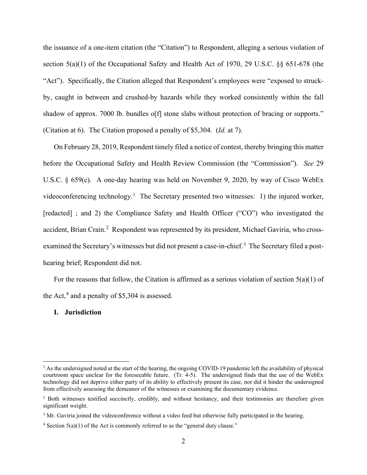the issuance of a one-item citation (the "Citation") to Respondent, alleging a serious violation of section 5(a)(1) of the Occupational Safety and Health Act of 1970, 29 U.S.C. §§ 651-678 (the "Act"). Specifically, the Citation alleged that Respondent's employees were "exposed to struckby, caught in between and crushed-by hazards while they worked consistently within the fall shadow of approx. 7000 lb. bundles of f stone slabs without protection of bracing or supports." (Citation at 6). The Citation proposed a penalty of \$5,304. (*Id.* at 7).

On February 28, 2019, Respondent timely filed a notice of contest, thereby bringing this matter before the Occupational Safety and Health Review Commission (the "Commission"). *See* 29 U.S.C. § 659(c). A one-day hearing was held on November 9, 2020, by way of Cisco WebEx videoconferencing technology.<sup>[1](#page-1-0)</sup> The Secretary presented two witnesses: 1) the injured worker, [redacted] ; and 2) the Compliance Safety and Health Officer ("CO") who investigated the accident, Brian Crain.<sup>[2](#page-1-1)</sup> Respondent was represented by its president, Michael Gaviria, who cross-examined the Secretary's witnesses but did not present a case-in-chief.<sup>[3](#page-1-2)</sup> The Secretary filed a posthearing brief; Respondent did not.

For the reasons that follow, the Citation is affirmed as a serious violation of section  $5(a)(1)$  of the Act,<sup>[4](#page-1-3)</sup> and a penalty of \$5,304 is assessed.

#### **I. Jurisdiction**

<span id="page-1-0"></span> $<sup>1</sup>$  As the undersigned noted at the start of the hearing, the ongoing COVID-19 pandemic left the availability of physical</sup> courtroom space unclear for the foreseeable future. (Tr. 4-5). The undersigned finds that the use of the WebEx technology did not deprive either party of its ability to effectively present its case, nor did it hinder the undersigned from effectively assessing the demeanor of the witnesses or examining the documentary evidence.

<span id="page-1-1"></span><sup>&</sup>lt;sup>2</sup> Both witnesses testified succinctly, credibly, and without hesitancy, and their testimonies are therefore given significant weight.

<span id="page-1-2"></span><sup>&</sup>lt;sup>3</sup> Mr. Gaviria joined the videoconference without a video feed but otherwise fully participated in the hearing.

<span id="page-1-3"></span> $4$  Section  $5(a)(1)$  of the Act is commonly referred to as the "general duty clause."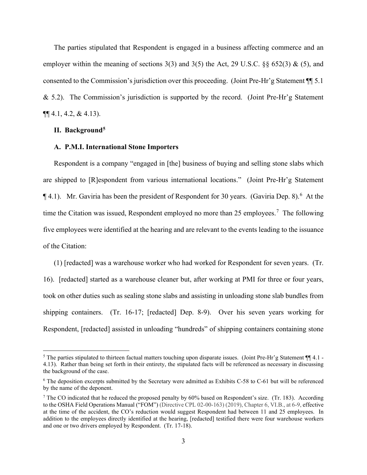The parties stipulated that Respondent is engaged in a business affecting commerce and an employer within the meaning of sections  $3(3)$  and  $3(5)$  the Act, 29 U.S.C. §§ 652(3) & (5), and consented to the Commission's jurisdiction over this proceeding. (Joint Pre-Hr'g Statement ¶¶ 5.1  $& 5.2$ ). The Commission's jurisdiction is supported by the record. (Joint Pre-Hr'g Statement  $\P\P$  4.1, 4.2, & 4.13).

## **II. Background[5](#page-2-0)**

#### **A. P.M.I. International Stone Importers**

Respondent is a company "engaged in [the] business of buying and selling stone slabs which are shipped to [R]espondent from various international locations." (Joint Pre-Hr'g Statement  $\P$  4.1). Mr. Gaviria has been the president of Respondent for 30 years. (Gaviria Dep. 8).<sup>[6](#page-2-1)</sup> At the time the Citation was issued, Respondent employed no more than 25 employees.<sup>[7](#page-2-2)</sup> The following five employees were identified at the hearing and are relevant to the events leading to the issuance of the Citation:

(1) [redacted] was a warehouse worker who had worked for Respondent for seven years. (Tr. 16). [redacted] started as a warehouse cleaner but, after working at PMI for three or four years, took on other duties such as sealing stone slabs and assisting in unloading stone slab bundles from shipping containers. (Tr. 16-17; [redacted] Dep. 8-9). Over his seven years working for Respondent, [redacted] assisted in unloading "hundreds" of shipping containers containing stone

<span id="page-2-0"></span><sup>&</sup>lt;sup>5</sup> The parties stipulated to thirteen factual matters touching upon disparate issues. (Joint Pre-Hr'g Statement  $\P$  4.1 -4.13). Rather than being set forth in their entirety, the stipulated facts will be referenced as necessary in discussing the background of the case.

<span id="page-2-1"></span><sup>6</sup> The deposition excerpts submitted by the Secretary were admitted as Exhibits C-58 to C-61 but will be referenced by the name of the deponent.

<span id="page-2-2"></span><sup>7</sup> The CO indicated that he reduced the proposed penalty by 60% based on Respondent's size. (Tr. 183). According to the OSHA Field Operations Manual ("FOM") (Directive CPL 02-00-163) (2019), Chapter 6, VI.B., at 6-9, effective at the time of the accident, the CO's reduction would suggest Respondent had between 11 and 25 employees. In addition to the employees directly identified at the hearing, [redacted] testified there were four warehouse workers and one or two drivers employed by Respondent. (Tr. 17-18).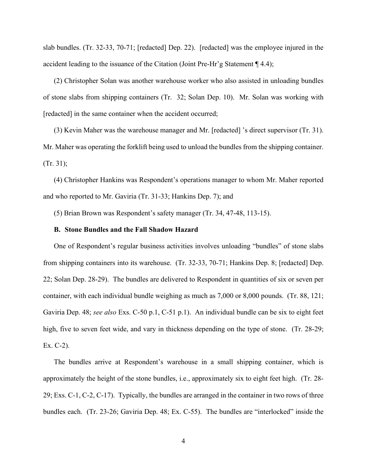slab bundles. (Tr. 32-33, 70-71; [redacted] Dep. 22). [redacted] was the employee injured in the accident leading to the issuance of the Citation (Joint Pre-Hr'g Statement ¶ 4.4);

(2) Christopher Solan was another warehouse worker who also assisted in unloading bundles of stone slabs from shipping containers (Tr. 32; Solan Dep. 10). Mr. Solan was working with [redacted] in the same container when the accident occurred;

(3) Kevin Maher was the warehouse manager and Mr. [redacted] 's direct supervisor (Tr. 31). Mr. Maher was operating the forklift being used to unload the bundles from the shipping container. (Tr. 31);

(4) Christopher Hankins was Respondent's operations manager to whom Mr. Maher reported and who reported to Mr. Gaviria (Tr. 31-33; Hankins Dep. 7); and

(5) Brian Brown was Respondent's safety manager (Tr. 34, 47-48, 113-15).

### **B. Stone Bundles and the Fall Shadow Hazard**

One of Respondent's regular business activities involves unloading "bundles" of stone slabs from shipping containers into its warehouse. (Tr. 32-33, 70-71; Hankins Dep. 8; [redacted] Dep. 22; Solan Dep. 28-29). The bundles are delivered to Respondent in quantities of six or seven per container, with each individual bundle weighing as much as 7,000 or 8,000 pounds. (Tr. 88, 121; Gaviria Dep. 48; *see also* Exs. C-50 p.1, C-51 p.1). An individual bundle can be six to eight feet high, five to seven feet wide, and vary in thickness depending on the type of stone. (Tr. 28-29; Ex. C-2).

The bundles arrive at Respondent's warehouse in a small shipping container, which is approximately the height of the stone bundles, i.e., approximately six to eight feet high. (Tr. 28- 29; Exs. C-1, C-2, C-17). Typically, the bundles are arranged in the container in two rows of three bundles each. (Tr. 23-26; Gaviria Dep. 48; Ex. C-55). The bundles are "interlocked" inside the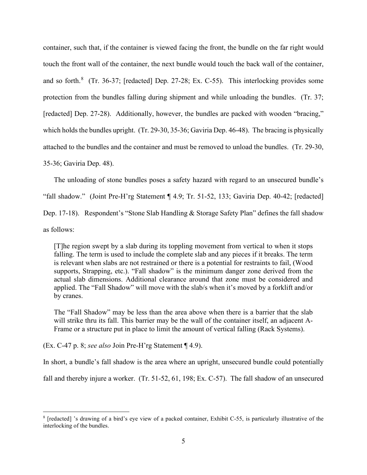container, such that, if the container is viewed facing the front, the bundle on the far right would touch the front wall of the container, the next bundle would touch the back wall of the container, and so forth.<sup>[8](#page-4-0)</sup> (Tr. 36-37; [redacted] Dep. 27-28; Ex. C-55). This interlocking provides some protection from the bundles falling during shipment and while unloading the bundles. (Tr. 37; [redacted] Dep. 27-28). Additionally, however, the bundles are packed with wooden "bracing," which holds the bundles upright. (Tr. 29-30, 35-36; Gaviria Dep. 46-48). The bracing is physically attached to the bundles and the container and must be removed to unload the bundles. (Tr. 29-30, 35-36; Gaviria Dep. 48).

The unloading of stone bundles poses a safety hazard with regard to an unsecured bundle's "fall shadow." (Joint Pre-H'rg Statement ¶ 4.9; Tr. 51-52, 133; Gaviria Dep. 40-42; [redacted] Dep. 17-18). Respondent's "Stone Slab Handling & Storage Safety Plan" defines the fall shadow as follows:

[T]he region swept by a slab during its toppling movement from vertical to when it stops falling. The term is used to include the complete slab and any pieces if it breaks. The term is relevant when slabs are not restrained or there is a potential for restraints to fail, (Wood supports, Strapping, etc.). "Fall shadow" is the minimum danger zone derived from the actual slab dimensions. Additional clearance around that zone must be considered and applied. The "Fall Shadow" will move with the slab/s when it's moved by a forklift and/or by cranes.

The "Fall Shadow" may be less than the area above when there is a barrier that the slab will strike thru its fall. This barrier may be the wall of the container itself, an adjacent A-Frame or a structure put in place to limit the amount of vertical falling (Rack Systems).

(Ex. C-47 p. 8; *see also* Join Pre-H'rg Statement ¶ 4.9).

In short, a bundle's fall shadow is the area where an upright, unsecured bundle could potentially

fall and thereby injure a worker. (Tr. 51-52, 61, 198; Ex. C-57). The fall shadow of an unsecured

<span id="page-4-0"></span><sup>8</sup> [redacted] 's drawing of a bird's eye view of a packed container, Exhibit C-55, is particularly illustrative of the interlocking of the bundles.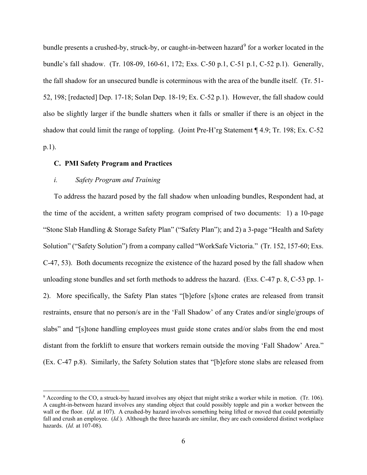bundle presents a crushed-by, struck-by, or caught-in-between hazard<sup>[9](#page-5-0)</sup> for a worker located in the bundle's fall shadow. (Tr. 108-09, 160-61, 172; Exs. C-50 p.1, C-51 p.1, C-52 p.1). Generally, the fall shadow for an unsecured bundle is coterminous with the area of the bundle itself. (Tr. 51- 52, 198; [redacted] Dep. 17-18; Solan Dep. 18-19; Ex. C-52 p.1). However, the fall shadow could also be slightly larger if the bundle shatters when it falls or smaller if there is an object in the shadow that could limit the range of toppling. (Joint Pre-H'rg Statement ¶ 4.9; Tr. 198; Ex. C-52 p.1).

# **C. PMI Safety Program and Practices**

## *i. Safety Program and Training*

To address the hazard posed by the fall shadow when unloading bundles, Respondent had, at the time of the accident, a written safety program comprised of two documents: 1) a 10-page "Stone Slab Handling & Storage Safety Plan" ("Safety Plan"); and 2) a 3-page "Health and Safety Solution" ("Safety Solution") from a company called "WorkSafe Victoria." (Tr. 152, 157-60; Exs. C-47, 53). Both documents recognize the existence of the hazard posed by the fall shadow when unloading stone bundles and set forth methods to address the hazard. (Exs. C-47 p. 8, C-53 pp. 1- 2). More specifically, the Safety Plan states "[b]efore [s]tone crates are released from transit restraints, ensure that no person/s are in the 'Fall Shadow' of any Crates and/or single/groups of slabs" and "[s]tone handling employees must guide stone crates and/or slabs from the end most distant from the forklift to ensure that workers remain outside the moving 'Fall Shadow' Area." (Ex. C-47 p.8). Similarly, the Safety Solution states that "[b]efore stone slabs are released from

<span id="page-5-0"></span><sup>9</sup> According to the CO, a struck-by hazard involves any object that might strike a worker while in motion. (Tr. 106). A caught-in-between hazard involves any standing object that could possibly topple and pin a worker between the wall or the floor. (*Id.* at 107). A crushed-by hazard involves something being lifted or moved that could potentially fall and crush an employee. (*Id.*). Although the three hazards are similar, they are each considered distinct workplace hazards. (*Id.* at 107-08).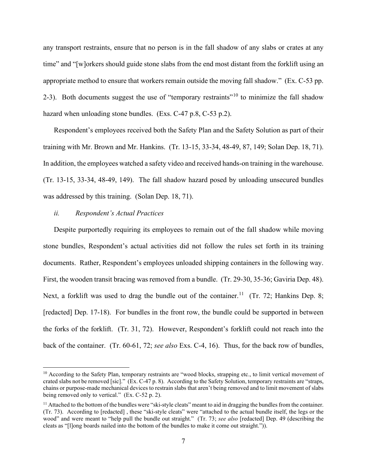any transport restraints, ensure that no person is in the fall shadow of any slabs or crates at any time" and "[w]orkers should guide stone slabs from the end most distant from the forklift using an appropriate method to ensure that workers remain outside the moving fall shadow." (Ex. C-53 pp. 2-3). Both documents suggest the use of "temporary restraints"<sup>[10](#page-6-0)</sup> to minimize the fall shadow hazard when unloading stone bundles. (Exs. C-47 p.8, C-53 p.2).

Respondent's employees received both the Safety Plan and the Safety Solution as part of their training with Mr. Brown and Mr. Hankins. (Tr. 13-15, 33-34, 48-49, 87, 149; Solan Dep. 18, 71). In addition, the employees watched a safety video and received hands-on training in the warehouse. (Tr. 13-15, 33-34, 48-49, 149). The fall shadow hazard posed by unloading unsecured bundles was addressed by this training. (Solan Dep. 18, 71).

#### *ii. Respondent's Actual Practices*

Despite purportedly requiring its employees to remain out of the fall shadow while moving stone bundles, Respondent's actual activities did not follow the rules set forth in its training documents. Rather, Respondent's employees unloaded shipping containers in the following way. First, the wooden transit bracing was removed from a bundle. (Tr. 29-30, 35-36; Gaviria Dep. 48). Next, a forklift was used to drag the bundle out of the container.<sup>[11](#page-6-1)</sup> (Tr. 72; Hankins Dep. 8; [redacted] Dep. 17-18). For bundles in the front row, the bundle could be supported in between the forks of the forklift. (Tr. 31, 72). However, Respondent's forklift could not reach into the back of the container. (Tr. 60-61, 72; *see also* Exs. C-4, 16). Thus, for the back row of bundles,

<span id="page-6-0"></span><sup>&</sup>lt;sup>10</sup> According to the Safety Plan, temporary restraints are "wood blocks, strapping etc., to limit vertical movement of crated slabs not be removed [sic]." (Ex. C-47 p. 8). According to the Safety Solution, temporary restraints are "straps, chains or purpose-made mechanical devices to restrain slabs that aren't being removed and to limit movement of slabs being removed only to vertical." (Ex. C-52 p. 2).

<span id="page-6-1"></span> $<sup>11</sup>$  Attached to the bottom of the bundles were "ski-style cleats" meant to aid in dragging the bundles from the container.</sup> (Tr. 73). According to [redacted] , these "ski-style cleats" were "attached to the actual bundle itself, the legs or the wood" and were meant to "help pull the bundle out straight." (Tr. 73; *see also* [redacted] Dep. 49 (describing the cleats as "[l]ong boards nailed into the bottom of the bundles to make it come out straight.")).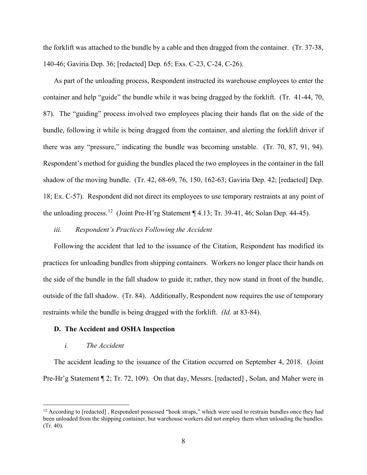the forklift was attached to the bundle by a cable and then dragged from the container. (Tr. 37-38, 140-46; Gaviria Dep. 36; [redacted] Dep. 65; Exs. C-23, C-24, C-26).

As part of the unloading process, Respondent instructed its warehouse employees to enter the container and help "guide" the bundle while it was being dragged by the forklift. (Tr. 41-44, 70, 87). The "guiding" process involved two employees placing their hands flat on the side of the bundle, following it while is being dragged from the container, and alerting the forklift driver if there was any "pressure," indicating the bundle was becoming unstable. (Tr. 70, 87, 91, 94). Respondent's method for guiding the bundles placed the two employees in the container in the fall shadow of the moving bundle. (Tr. 42, 68-69, 76, 150, 162-63; Gaviria Dep. 42; [redacted] Dep. 18; Ex. C-57). Respondent did not direct its employees to use temporary restraints at any point of the unloading process.<sup>[12](#page-7-0)</sup> (Joint Pre-H'rg Statement ¶ 4.13; Tr. 39-41, 46; Solan Dep. 44-45).

# *iii. Respondent's Practices Following the Accident*

Following the accident that led to the issuance of the Citation, Respondent has modified its practices for unloading bundles from shipping containers. Workers no longer place their hands on the side of the bundle in the fall shadow to guide it; rather, they now stand in front of the bundle, outside of the fall shadow. (Tr. 84). Additionally, Respondent now requires the use of temporary restraints while the bundle is being dragged with the forklift. *(Id.* at 83-84).

#### **D. The Accident and OSHA Inspection**

### *i. The Accident*

The accident leading to the issuance of the Citation occurred on September 4, 2018. (Joint Pre-Hr'g Statement ¶ 2; Tr. 72, 109). On that day, Messrs. [redacted], Solan, and Maher were in

<span id="page-7-0"></span> $12$  According to [redacted], Respondent possessed "hook straps," which were used to restrain bundles once they had been unloaded from the shipping container, but warehouse workers did not employ them when unloading the bundles. (Tr. 40).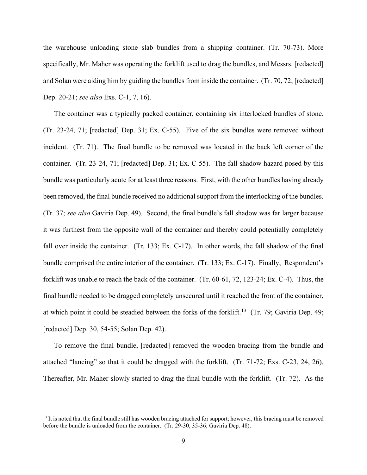the warehouse unloading stone slab bundles from a shipping container. (Tr. 70-73). More specifically, Mr. Maher was operating the forklift used to drag the bundles, and Messrs. [redacted] and Solan were aiding him by guiding the bundles from inside the container. (Tr. 70, 72; [redacted] Dep. 20-21; *see also* Exs. C-1, 7, 16).

The container was a typically packed container, containing six interlocked bundles of stone. (Tr. 23-24, 71; [redacted] Dep. 31; Ex. C-55). Five of the six bundles were removed without incident. (Tr. 71). The final bundle to be removed was located in the back left corner of the container. (Tr. 23-24, 71; [redacted] Dep. 31; Ex. C-55). The fall shadow hazard posed by this bundle was particularly acute for at least three reasons. First, with the other bundles having already been removed, the final bundle received no additional support from the interlocking of the bundles. (Tr. 37; *see also* Gaviria Dep. 49). Second, the final bundle's fall shadow was far larger because it was furthest from the opposite wall of the container and thereby could potentially completely fall over inside the container. (Tr. 133; Ex. C-17). In other words, the fall shadow of the final bundle comprised the entire interior of the container. (Tr. 133; Ex. C-17). Finally, Respondent's forklift was unable to reach the back of the container. (Tr. 60-61, 72, 123-24; Ex. C-4). Thus, the final bundle needed to be dragged completely unsecured until it reached the front of the container, at which point it could be steadied between the forks of the forklift.<sup>13</sup> (Tr. 79; Gaviria Dep. 49; [redacted] Dep. 30, 54-55; Solan Dep. 42).

To remove the final bundle, [redacted] removed the wooden bracing from the bundle and attached "lancing" so that it could be dragged with the forklift. (Tr. 71-72; Exs. C-23, 24, 26). Thereafter, Mr. Maher slowly started to drag the final bundle with the forklift. (Tr. 72). As the

<span id="page-8-0"></span> $<sup>13</sup>$  It is noted that the final bundle still has wooden bracing attached for support; however, this bracing must be removed</sup> before the bundle is unloaded from the container. (Tr. 29-30, 35-36; Gaviria Dep. 48).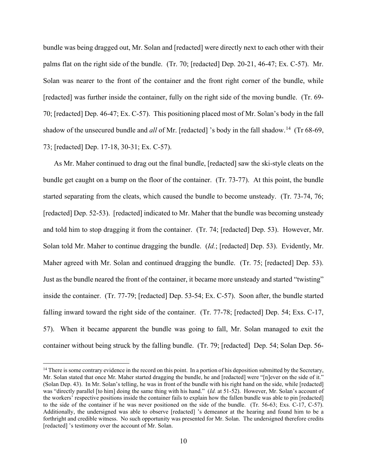bundle was being dragged out, Mr. Solan and [redacted] were directly next to each other with their palms flat on the right side of the bundle. (Tr. 70; [redacted] Dep. 20-21, 46-47; Ex. C-57). Mr. Solan was nearer to the front of the container and the front right corner of the bundle, while [redacted] was further inside the container, fully on the right side of the moving bundle. (Tr. 69- 70; [redacted] Dep. 46-47; Ex. C-57). This positioning placed most of Mr. Solan's body in the fall shadow of the unsecured bundle and *all* of Mr. [redacted] 's body in the fall shadow.<sup>[14](#page-9-0)</sup> (Tr 68-69, 73; [redacted] Dep. 17-18, 30-31; Ex. C-57).

As Mr. Maher continued to drag out the final bundle, [redacted] saw the ski-style cleats on the bundle get caught on a bump on the floor of the container. (Tr. 73-77). At this point, the bundle started separating from the cleats, which caused the bundle to become unsteady. (Tr. 73-74, 76; [redacted] Dep. 52-53). [redacted] indicated to Mr. Maher that the bundle was becoming unsteady and told him to stop dragging it from the container. (Tr. 74; [redacted] Dep. 53). However, Mr. Solan told Mr. Maher to continue dragging the bundle. (*Id.*; [redacted] Dep. 53). Evidently, Mr. Maher agreed with Mr. Solan and continued dragging the bundle. (Tr. 75; [redacted] Dep. 53). Just as the bundle neared the front of the container, it became more unsteady and started "twisting" inside the container. (Tr. 77-79; [redacted] Dep. 53-54; Ex. C-57). Soon after, the bundle started falling inward toward the right side of the container. (Tr. 77-78; [redacted] Dep. 54; Exs. C-17, 57). When it became apparent the bundle was going to fall, Mr. Solan managed to exit the container without being struck by the falling bundle. (Tr. 79; [redacted] Dep. 54; Solan Dep. 56-

<span id="page-9-0"></span> $14$  There is some contrary evidence in the record on this point. In a portion of his deposition submitted by the Secretary, Mr. Solan stated that once Mr. Maher started dragging the bundle, he and [redacted] were "[n]ever on the side of it." (Solan Dep. 43). In Mr. Solan's telling, he was in front of the bundle with his right hand on the side, while [redacted] was "directly parallel [to him] doing the same thing with his hand." (*Id.* at 51-52). However, Mr. Solan's account of the workers' respective positions inside the container fails to explain how the fallen bundle was able to pin [redacted] to the side of the container if he was never positioned on the side of the bundle. (Tr. 56-63; Exs. C-17, C-57). Additionally, the undersigned was able to observe [redacted] 's demeanor at the hearing and found him to be a forthright and credible witness. No such opportunity was presented for Mr. Solan. The undersigned therefore credits [redacted] 's testimony over the account of Mr. Solan.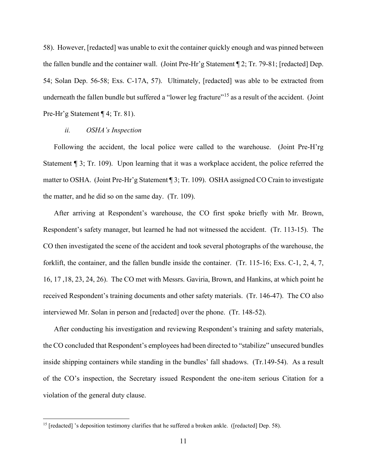58). However, [redacted] was unable to exit the container quickly enough and was pinned between the fallen bundle and the container wall. (Joint Pre-Hr'g Statement ¶ 2; Tr. 79-81; [redacted] Dep. 54; Solan Dep. 56-58; Exs. C-17A, 57). Ultimately, [redacted] was able to be extracted from underneath the fallen bundle but suffered a "lower leg fracture"<sup>[15](#page-10-0)</sup> as a result of the accident. (Joint Pre-Hr'g Statement ¶ 4; Tr. 81).

## *ii. OSHA's Inspection*

Following the accident, the local police were called to the warehouse. (Joint Pre-H'rg Statement ¶ 3; Tr. 109). Upon learning that it was a workplace accident, the police referred the matter to OSHA. (Joint Pre-Hr'g Statement ¶ 3; Tr. 109). OSHA assigned CO Crain to investigate the matter, and he did so on the same day. (Tr. 109).

After arriving at Respondent's warehouse, the CO first spoke briefly with Mr. Brown, Respondent's safety manager, but learned he had not witnessed the accident. (Tr. 113-15). The CO then investigated the scene of the accident and took several photographs of the warehouse, the forklift, the container, and the fallen bundle inside the container. (Tr. 115-16; Exs. C-1, 2, 4, 7, 16, 17 ,18, 23, 24, 26). The CO met with Messrs. Gaviria, Brown, and Hankins, at which point he received Respondent's training documents and other safety materials. (Tr. 146-47). The CO also interviewed Mr. Solan in person and [redacted] over the phone. (Tr. 148-52).

After conducting his investigation and reviewing Respondent's training and safety materials, the CO concluded that Respondent's employees had been directed to "stabilize" unsecured bundles inside shipping containers while standing in the bundles' fall shadows. (Tr.149-54). As a result of the CO's inspection, the Secretary issued Respondent the one-item serious Citation for a violation of the general duty clause.

<span id="page-10-0"></span><sup>&</sup>lt;sup>15</sup> [redacted] 's deposition testimony clarifies that he suffered a broken ankle. ([redacted] Dep. 58).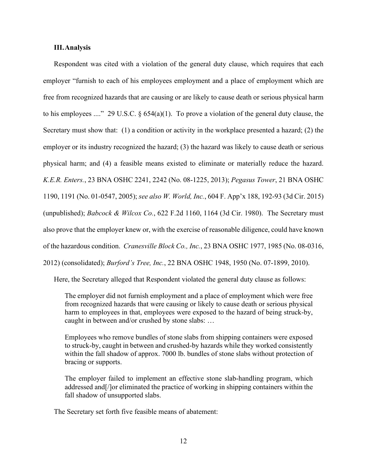# **III.Analysis**

Respondent was cited with a violation of the general duty clause, which requires that each employer "furnish to each of his employees employment and a place of employment which are free from recognized hazards that are causing or are likely to cause death or serious physical harm to his employees ...." 29 U.S.C. § 654(a)(1). To prove a violation of the general duty clause, the Secretary must show that: (1) a condition or activity in the workplace presented a hazard; (2) the employer or its industry recognized the hazard; (3) the hazard was likely to cause death or serious physical harm; and (4) a feasible means existed to eliminate or materially reduce the hazard. *K.E.R. Enters.*, 23 BNA OSHC 2241, 2242 (No. 08-1225, 2013); *Pegasus Tower*, 21 BNA OSHC 1190, 1191 (No. 01-0547, 2005); *see also W. World, Inc.*, 604 F. App'x 188, 192-93 (3d Cir. 2015) (unpublished); *Babcock & Wilcox Co.*, 622 F.2d 1160, 1164 (3d Cir. 1980). The Secretary must also prove that the employer knew or, with the exercise of reasonable diligence, could have known of the hazardous condition. *Cranesville Block Co., Inc.*, 23 BNA OSHC 1977, 1985 (No. 08-0316, 2012) (consolidated); *Burford's Tree, Inc.*, 22 BNA OSHC 1948, 1950 (No. 07-1899, 2010).

Here, the Secretary alleged that Respondent violated the general duty clause as follows:

The employer did not furnish employment and a place of employment which were free from recognized hazards that were causing or likely to cause death or serious physical harm to employees in that, employees were exposed to the hazard of being struck-by, caught in between and/or crushed by stone slabs: …

Employees who remove bundles of stone slabs from shipping containers were exposed to struck-by, caught in between and crushed-by hazards while they worked consistently within the fall shadow of approx. 7000 lb. bundles of stone slabs without protection of bracing or supports.

The employer failed to implement an effective stone slab-handling program, which addressed and[/]or eliminated the practice of working in shipping containers within the fall shadow of unsupported slabs.

The Secretary set forth five feasible means of abatement: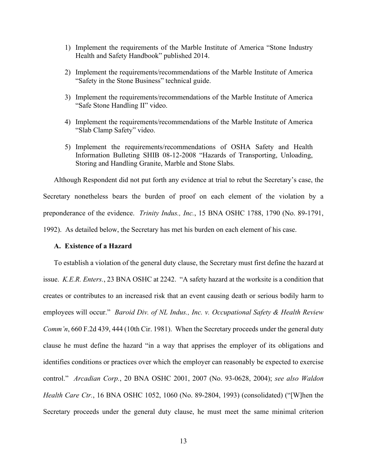- 1) Implement the requirements of the Marble Institute of America "Stone Industry Health and Safety Handbook" published 2014.
- 2) Implement the requirements/recommendations of the Marble Institute of America "Safety in the Stone Business" technical guide.
- 3) Implement the requirements/recommendations of the Marble Institute of America "Safe Stone Handling II" video.
- 4) Implement the requirements/recommendations of the Marble Institute of America "Slab Clamp Safety" video.
- 5) Implement the requirements/recommendations of OSHA Safety and Health Information Bulleting SHIB 08-12-2008 "Hazards of Transporting, Unloading, Storing and Handling Granite, Marble and Stone Slabs.

Although Respondent did not put forth any evidence at trial to rebut the Secretary's case, the Secretary nonetheless bears the burden of proof on each element of the violation by a preponderance of the evidence. *Trinity Indus., Inc.*, 15 BNA OSHC 1788, 1790 (No. 89-1791, 1992). As detailed below, the Secretary has met his burden on each element of his case.

## **A. Existence of a Hazard**

To establish a violation of the general duty clause, the Secretary must first define the hazard at issue. *K.E.R. Enters.*, 23 BNA OSHC at 2242. "A safety hazard at the worksite is a condition that creates or contributes to an increased risk that an event causing death or serious bodily harm to employees will occur." *Baroid Div. of NL Indus., Inc. v. Occupational Safety & Health Review Comm'n*, 660 F.2d 439, 444 (10th Cir. 1981). When the Secretary proceeds under the general duty clause he must define the hazard "in a way that apprises the employer of its obligations and identifies conditions or practices over which the employer can reasonably be expected to exercise control." *Arcadian Corp.*, 20 BNA OSHC 2001, 2007 (No. 93-0628, 2004); *see also Waldon Health Care Ctr.*, 16 BNA OSHC 1052, 1060 (No. 89-2804, 1993) (consolidated) ("[W]hen the Secretary proceeds under the general duty clause, he must meet the same minimal criterion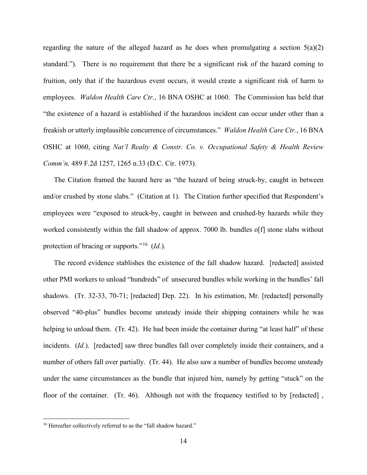regarding the nature of the alleged hazard as he does when promulgating a section  $5(a)(2)$ standard."). There is no requirement that there be a significant risk of the hazard coming to fruition, only that if the hazardous event occurs, it would create a significant risk of harm to employees. *Waldon Health Care Ctr.*, 16 BNA OSHC at 1060. The Commission has held that "the existence of a hazard is established if the hazardous incident can occur under other than a freakish or utterly implausible concurrence of circumstances." *Waldon Health Care Ctr.*, 16 BNA OSHC at 1060, citing *Nat'l Realty & Constr. Co. v. Occupational Safety & Health Review Comm'n,* 489 F.2d 1257, 1265 n.33 (D.C. Cir. 1973).

The Citation framed the hazard here as "the hazard of being struck-by, caught in between and/or crushed by stone slabs." (Citation at 1). The Citation further specified that Respondent's employees were "exposed to struck-by, caught in between and crushed-by hazards while they worked consistently within the fall shadow of approx. 7000 lb. bundles of f stone slabs without protection of bracing or supports."[16](#page-13-0) (*Id.*).

The record evidence stablishes the existence of the fall shadow hazard. [redacted] assisted other PMI workers to unload "hundreds" of unsecured bundles while working in the bundles' fall shadows. (Tr. 32-33, 70-71; [redacted] Dep. 22). In his estimation, Mr. [redacted] personally observed "40-plus" bundles become unsteady inside their shipping containers while he was helping to unload them. (Tr. 42). He had been inside the container during "at least half" of these incidents. *(Id.).* [redacted] saw three bundles fall over completely inside their containers, and a number of others fall over partially. (Tr. 44). He also saw a number of bundles become unsteady under the same circumstances as the bundle that injured him, namely by getting "stuck" on the floor of the container. (Tr. 46). Although not with the frequency testified to by [redacted],

<span id="page-13-0"></span><sup>&</sup>lt;sup>16</sup> Hereafter collectively referred to as the "fall shadow hazard."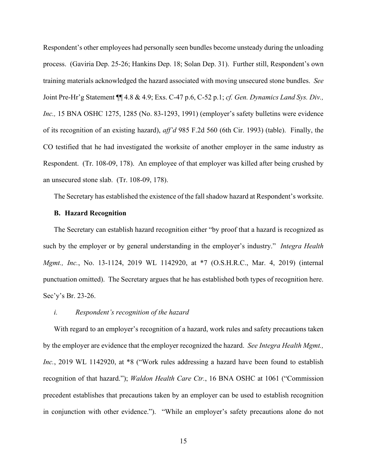Respondent's other employees had personally seen bundles become unsteady during the unloading process. (Gaviria Dep. 25-26; Hankins Dep. 18; Solan Dep. 31). Further still, Respondent's own training materials acknowledged the hazard associated with moving unsecured stone bundles. *See*  Joint Pre-Hr'g Statement ¶¶ 4.8 & 4.9; Exs. C-47 p.6, C-52 p.1; *cf. Gen. Dynamics Land Sys. Div., Inc.,* 15 BNA OSHC 1275, 1285 (No. 83-1293, 1991) (employer's safety bulletins were evidence of its recognition of an existing hazard), *aff'd* 985 F.2d 560 (6th Cir. 1993) (table). Finally, the CO testified that he had investigated the worksite of another employer in the same industry as Respondent. (Tr. 108-09, 178). An employee of that employer was killed after being crushed by an unsecured stone slab. (Tr. 108-09, 178).

The Secretary has established the existence of the fall shadow hazard at Respondent's worksite.

## **B. Hazard Recognition**

The Secretary can establish hazard recognition either "by proof that a hazard is recognized as such by the employer or by general understanding in the employer's industry." *Integra Health Mgmt., Inc.*, No. 13-1124, 2019 WL 1142920, at \*7 (O.S.H.R.C., Mar. 4, 2019) (internal punctuation omitted). The Secretary argues that he has established both types of recognition here. Sec'y's Br. 23-26.

## *i. Respondent's recognition of the hazard*

With regard to an employer's recognition of a hazard, work rules and safety precautions taken by the employer are evidence that the employer recognized the hazard. *See Integra Health Mgmt., Inc.*, 2019 WL 1142920, at \*8 ("Work rules addressing a hazard have been found to establish recognition of that hazard."); *Waldon Health Care Ctr.*, 16 BNA OSHC at 1061 ("Commission precedent establishes that precautions taken by an employer can be used to establish recognition in conjunction with other evidence."). "While an employer's safety precautions alone do not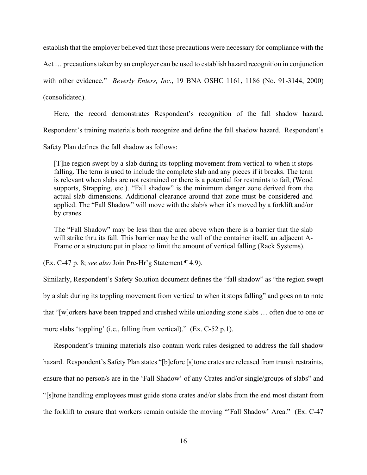establish that the employer believed that those precautions were necessary for compliance with the Act … precautions taken by an employer can be used to establish hazard recognition in conjunction with other evidence." *Beverly Enters, Inc.*, 19 BNA OSHC 1161, 1186 (No. 91-3144, 2000) (consolidated).

Here, the record demonstrates Respondent's recognition of the fall shadow hazard. Respondent's training materials both recognize and define the fall shadow hazard. Respondent's

Safety Plan defines the fall shadow as follows:

[T]he region swept by a slab during its toppling movement from vertical to when it stops falling. The term is used to include the complete slab and any pieces if it breaks. The term is relevant when slabs are not restrained or there is a potential for restraints to fail, (Wood supports, Strapping, etc.). "Fall shadow" is the minimum danger zone derived from the actual slab dimensions. Additional clearance around that zone must be considered and applied. The "Fall Shadow" will move with the slab/s when it's moved by a forklift and/or by cranes.

The "Fall Shadow" may be less than the area above when there is a barrier that the slab will strike thru its fall. This barrier may be the wall of the container itself, an adjacent A-Frame or a structure put in place to limit the amount of vertical falling (Rack Systems).

(Ex. C-47 p. 8; *see also* Join Pre-Hr'g Statement ¶ 4.9).

Similarly, Respondent's Safety Solution document defines the "fall shadow" as "the region swept by a slab during its toppling movement from vertical to when it stops falling" and goes on to note that "[w]orkers have been trapped and crushed while unloading stone slabs … often due to one or more slabs 'toppling' (i.e., falling from vertical)." (Ex. C-52 p.1).

Respondent's training materials also contain work rules designed to address the fall shadow hazard. Respondent's Safety Plan states "[b]efore [s]tone crates are released from transit restraints, ensure that no person/s are in the 'Fall Shadow' of any Crates and/or single/groups of slabs" and "[s]tone handling employees must guide stone crates and/or slabs from the end most distant from the forklift to ensure that workers remain outside the moving "'Fall Shadow' Area." (Ex. C-47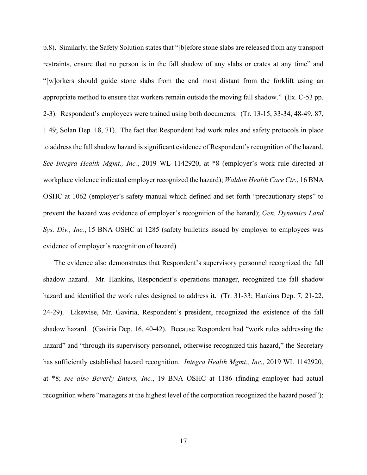p.8). Similarly, the Safety Solution states that "[b]efore stone slabs are released from any transport restraints, ensure that no person is in the fall shadow of any slabs or crates at any time" and "[w]orkers should guide stone slabs from the end most distant from the forklift using an appropriate method to ensure that workers remain outside the moving fall shadow." (Ex. C-53 pp. 2-3). Respondent's employees were trained using both documents. (Tr. 13-15, 33-34, 48-49, 87, 1 49; Solan Dep. 18, 71). The fact that Respondent had work rules and safety protocols in place to address the fall shadow hazard is significant evidence of Respondent's recognition of the hazard. *See Integra Health Mgmt., Inc.*, 2019 WL 1142920, at \*8 (employer's work rule directed at workplace violence indicated employer recognized the hazard); *Waldon Health Care Ctr.*, 16 BNA OSHC at 1062 (employer's safety manual which defined and set forth "precautionary steps" to prevent the hazard was evidence of employer's recognition of the hazard); *Gen. Dynamics Land Sys. Div., Inc.*, 15 BNA OSHC at 1285 (safety bulletins issued by employer to employees was evidence of employer's recognition of hazard).

The evidence also demonstrates that Respondent's supervisory personnel recognized the fall shadow hazard. Mr. Hankins, Respondent's operations manager, recognized the fall shadow hazard and identified the work rules designed to address it. (Tr. 31-33; Hankins Dep. 7, 21-22, 24-29). Likewise, Mr. Gaviria, Respondent's president, recognized the existence of the fall shadow hazard. (Gaviria Dep. 16, 40-42). Because Respondent had "work rules addressing the hazard" and "through its supervisory personnel, otherwise recognized this hazard," the Secretary has sufficiently established hazard recognition. *Integra Health Mgmt., Inc.*, 2019 WL 1142920, at \*8; *see also Beverly Enters, Inc.*, 19 BNA OSHC at 1186 (finding employer had actual recognition where "managers at the highest level of the corporation recognized the hazard posed");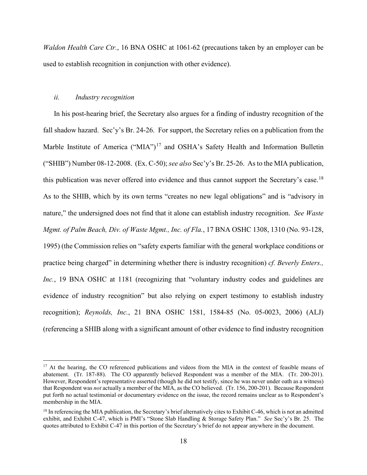*Waldon Health Care Ctr.*, 16 BNA OSHC at 1061-62 (precautions taken by an employer can be used to establish recognition in conjunction with other evidence).

### <span id="page-17-2"></span>*ii. Industry recognition*

In his post-hearing brief, the Secretary also argues for a finding of industry recognition of the fall shadow hazard. Sec'y's Br. 24-26. For support, the Secretary relies on a publication from the Marble Institute of America ("MIA")<sup>[17](#page-17-0)</sup> and OSHA's Safety Health and Information Bulletin ("SHIB") Number 08-12-2008. (Ex. C-50); *see also* Sec'y's Br. 25-26. As to the MIA publication, this publication was never offered into evidence and thus cannot support the Secretary's case.<sup>[18](#page-17-1)</sup> As to the SHIB, which by its own terms "creates no new legal obligations" and is "advisory in nature," the undersigned does not find that it alone can establish industry recognition. *See Waste Mgmt. of Palm Beach, Div. of Waste Mgmt., Inc. of Fla.*, 17 BNA OSHC 1308, 1310 (No. 93-128, 1995) (the Commission relies on "safety experts familiar with the general workplace conditions or practice being charged" in determining whether there is industry recognition) *cf. Beverly Enters., Inc.*, 19 BNA OSHC at 1181 (recognizing that "voluntary industry codes and guidelines are evidence of industry recognition" but also relying on expert testimony to establish industry recognition); *Reynolds, Inc.*, 21 BNA OSHC 1581, 1584-85 (No. 05-0023, 2006) (ALJ) (referencing a SHIB along with a significant amount of other evidence to find industry recognition

<span id="page-17-0"></span><sup>&</sup>lt;sup>17</sup> At the hearing, the CO referenced publications and videos from the MIA in the context of feasible means of abatement. (Tr. 187-88). The CO apparently believed Respondent was a member of the MIA. (Tr. 200-201). However, Respondent's representative asserted (though he did not testify, since he was never under oath as a witness) that Respondent was *not* actually a member of the MIA, as the CO believed. (Tr. 156, 200-201). Because Respondent put forth no actual testimonial or documentary evidence on the issue, the record remains unclear as to Respondent's membership in the MIA.

<span id="page-17-1"></span> $18$  In referencing the MIA publication, the Secretary's brief alternatively cites to Exhibit C-46, which is not an admitted exhibit, and Exhibit C-47, which is PMI's "Stone Slab Handling & Storage Safety Plan." *See* Sec'y's Br. 25. The quotes attributed to Exhibit C-47 in this portion of the Secretary's brief do not appear anywhere in the document.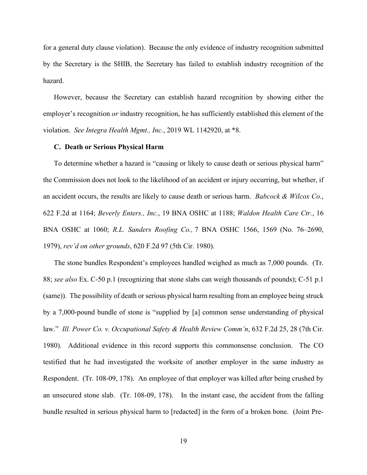for a general duty clause violation). Because the only evidence of industry recognition submitted by the Secretary is the SHIB, the Secretary has failed to establish industry recognition of the hazard.

However, because the Secretary can establish hazard recognition by showing either the employer's recognition *or* industry recognition, he has sufficiently established this element of the violation. *See Integra Health Mgmt., Inc.*, 2019 WL 1142920, at \*8.

#### **C. Death or Serious Physical Harm**

To determine whether a hazard is "causing or likely to cause death or serious physical harm" the Commission does not look to the likelihood of an accident or injury occurring, but whether, if an accident occurs, the results are likely to cause death or serious harm. *Babcock & Wilcox Co.*, 622 F.2d at 1164; *Beverly Enters., Inc.*, 19 BNA OSHC at 1188; *Waldon Health Care Ctr.*, 16 BNA OSHC at 1060; *R.L. Sanders Roofing Co.,* 7 BNA OSHC 1566, 1569 (No. 76–2690, 1979), *rev'd on other grounds*, 620 F.2d 97 (5th Cir. 1980).

The stone bundles Respondent's employees handled weighed as much as 7,000 pounds. (Tr. 88; *see also* Ex. C-50 p.1 (recognizing that stone slabs can weigh thousands of pounds); C-51 p.1 (same)). The possibility of death or serious physical harm resulting from an employee being struck by a 7,000-pound bundle of stone is "supplied by [a] common sense understanding of physical law." *Ill. Power Co. v. Occupational Safety & Health Review Comm'n*, 632 F.2d 25, 28 (7th Cir. 1980). Additional evidence in this record supports this commonsense conclusion. The CO testified that he had investigated the worksite of another employer in the same industry as Respondent. (Tr. 108-09, 178). An employee of that employer was killed after being crushed by an unsecured stone slab. (Tr. 108-09, 178). In the instant case, the accident from the falling bundle resulted in serious physical harm to [redacted] in the form of a broken bone. (Joint Pre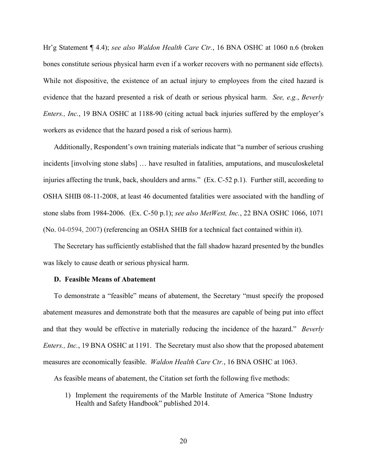Hr'g Statement ¶ 4.4); *see also Waldon Health Care Ctr.*, 16 BNA OSHC at 1060 n.6 (broken bones constitute serious physical harm even if a worker recovers with no permanent side effects). While not dispositive, the existence of an actual injury to employees from the cited hazard is evidence that the hazard presented a risk of death or serious physical harm. *See, e.g.*, *Beverly Enters., Inc.,* 19 BNA OSHC at 1188-90 (citing actual back injuries suffered by the employer's workers as evidence that the hazard posed a risk of serious harm).

Additionally, Respondent's own training materials indicate that "a number of serious crushing incidents [involving stone slabs] … have resulted in fatalities, amputations, and musculoskeletal injuries affecting the trunk, back, shoulders and arms." (Ex. C-52 p.1). Further still, according to OSHA SHIB 08-11-2008, at least 46 documented fatalities were associated with the handling of stone slabs from 1984-2006. (Ex. C-50 p.1); *see also MetWest, Inc.*, 22 BNA OSHC 1066, 1071 (No. 04-0594, 2007) (referencing an OSHA SHIB for a technical fact contained within it).

The Secretary has sufficiently established that the fall shadow hazard presented by the bundles was likely to cause death or serious physical harm.

### **D. Feasible Means of Abatement**

To demonstrate a "feasible" means of abatement, the Secretary "must specify the proposed abatement measures and demonstrate both that the measures are capable of being put into effect and that they would be effective in materially reducing the incidence of the hazard." *Beverly Enters., Inc.,* 19 BNA OSHC at 1191. The Secretary must also show that the proposed abatement measures are economically feasible. *Waldon Health Care Ctr.*, 16 BNA OSHC at 1063.

As feasible means of abatement, the Citation set forth the following five methods:

1) Implement the requirements of the Marble Institute of America "Stone Industry Health and Safety Handbook" published 2014.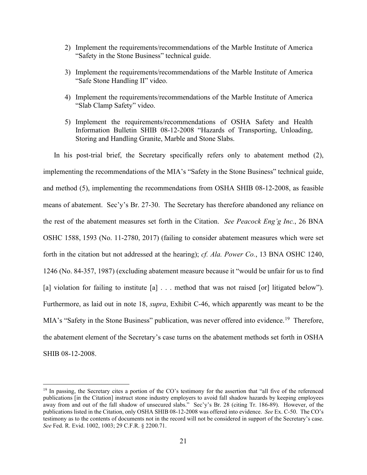- 2) Implement the requirements/recommendations of the Marble Institute of America "Safety in the Stone Business" technical guide.
- 3) Implement the requirements/recommendations of the Marble Institute of America "Safe Stone Handling II" video.
- 4) Implement the requirements/recommendations of the Marble Institute of America "Slab Clamp Safety" video.
- 5) Implement the requirements/recommendations of OSHA Safety and Health Information Bulletin SHIB 08-12-2008 "Hazards of Transporting, Unloading, Storing and Handling Granite, Marble and Stone Slabs.

In his post-trial brief, the Secretary specifically refers only to abatement method (2), implementing the recommendations of the MIA's "Safety in the Stone Business" technical guide, and method (5), implementing the recommendations from OSHA SHIB 08-12-2008, as feasible means of abatement. Sec'y's Br. 27-30. The Secretary has therefore abandoned any reliance on the rest of the abatement measures set forth in the Citation. *See Peacock Eng'g Inc.*, 26 BNA OSHC 1588, 1593 (No. 11-2780, 2017) (failing to consider abatement measures which were set forth in the citation but not addressed at the hearing); *cf. Ala. Power Co.*, 13 BNA OSHC 1240, 1246 (No. 84-357, 1987) (excluding abatement measure because it "would be unfair for us to find [a] violation for failing to institute [a] . . . method that was not raised [or] litigated below"). Furthermore, as laid out in note [18,](#page-17-2) *supra*, Exhibit C-46, which apparently was meant to be the MIA's "Safety in the Stone Business" publication, was never offered into evidence.<sup>19</sup> Therefore, the abatement element of the Secretary's case turns on the abatement methods set forth in OSHA SHIB 08-12-2008.

<span id="page-20-0"></span> $19$  In passing, the Secretary cites a portion of the CO's testimony for the assertion that "all five of the referenced" publications [in the Citation] instruct stone industry employers to avoid fall shadow hazards by keeping employees away from and out of the fall shadow of unsecured slabs." Sec'y's Br. 28 (citing Tr. 186-89). However, of the publications listed in the Citation, only OSHA SHIB 08-12-2008 was offered into evidence. *See* Ex. C-50. The CO's testimony as to the contents of documents not in the record will not be considered in support of the Secretary's case. *See* Fed. R. Evid. 1002, 1003; 29 C.F.R. § 2200.71.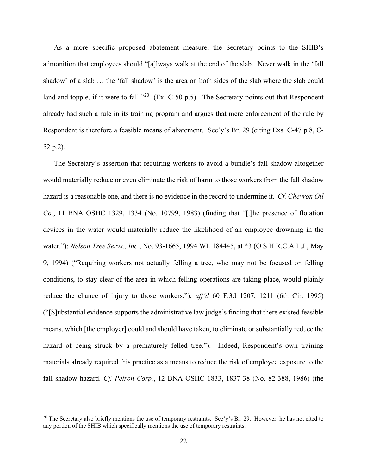As a more specific proposed abatement measure, the Secretary points to the SHIB's admonition that employees should "[a]lways walk at the end of the slab. Never walk in the 'fall shadow' of a slab … the 'fall shadow' is the area on both sides of the slab where the slab could land and topple, if it were to fall."<sup>[20](#page-21-0)</sup> (Ex. C-50 p.5). The Secretary points out that Respondent already had such a rule in its training program and argues that mere enforcement of the rule by Respondent is therefore a feasible means of abatement. Sec'y's Br. 29 (citing Exs. C-47 p.8, C-52 p.2).

The Secretary's assertion that requiring workers to avoid a bundle's fall shadow altogether would materially reduce or even eliminate the risk of harm to those workers from the fall shadow hazard is a reasonable one, and there is no evidence in the record to undermine it. *Cf. Chevron Oil Co.*, 11 BNA OSHC 1329, 1334 (No. 10799, 1983) (finding that "[t]he presence of flotation devices in the water would materially reduce the likelihood of an employee drowning in the water."); *Nelson Tree Servs., Inc.*, No. 93-1665, 1994 WL 184445, at \*3 (O.S.H.R.C.A.L.J., May 9, 1994) ("Requiring workers not actually felling a tree, who may not be focused on felling conditions, to stay clear of the area in which felling operations are taking place, would plainly reduce the chance of injury to those workers."), *aff'd* 60 F.3d 1207, 1211 (6th Cir. 1995) ("[S]ubstantial evidence supports the administrative law judge's finding that there existed feasible means, which [the employer] could and should have taken, to eliminate or substantially reduce the hazard of being struck by a prematurely felled tree."). Indeed, Respondent's own training materials already required this practice as a means to reduce the risk of employee exposure to the fall shadow hazard. *Cf. Pelron Corp.*, 12 BNA OSHC 1833, 1837-38 (No. 82-388, 1986) (the

<span id="page-21-0"></span><sup>&</sup>lt;sup>20</sup> The Secretary also briefly mentions the use of temporary restraints. Sec'y's Br. 29. However, he has not cited to any portion of the SHIB which specifically mentions the use of temporary restraints.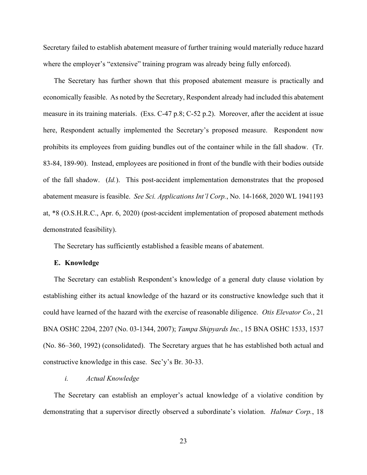Secretary failed to establish abatement measure of further training would materially reduce hazard where the employer's "extensive" training program was already being fully enforced).

The Secretary has further shown that this proposed abatement measure is practically and economically feasible. As noted by the Secretary, Respondent already had included this abatement measure in its training materials. (Exs. C-47 p.8; C-52 p.2). Moreover, after the accident at issue here, Respondent actually implemented the Secretary's proposed measure. Respondent now prohibits its employees from guiding bundles out of the container while in the fall shadow. (Tr. 83-84, 189-90). Instead, employees are positioned in front of the bundle with their bodies outside of the fall shadow. (*Id.*). This post-accident implementation demonstrates that the proposed abatement measure is feasible. *See Sci. Applications Int'l Corp.*, No. 14-1668, 2020 WL 1941193 at, \*8 (O.S.H.R.C., Apr. 6, 2020) (post-accident implementation of proposed abatement methods demonstrated feasibility).

The Secretary has sufficiently established a feasible means of abatement.

#### **E. Knowledge**

The Secretary can establish Respondent's knowledge of a general duty clause violation by establishing either its actual knowledge of the hazard or its constructive knowledge such that it could have learned of the hazard with the exercise of reasonable diligence. *Otis Elevator Co.*, 21 BNA OSHC 2204, 2207 (No. 03-1344, 2007); *Tampa Shipyards Inc.*, 15 BNA OSHC 1533, 1537 (No. 86–360, 1992) (consolidated). The Secretary argues that he has established both actual and constructive knowledge in this case. Sec'y's Br. 30-33.

#### *i. Actual Knowledge*

The Secretary can establish an employer's actual knowledge of a violative condition by demonstrating that a supervisor directly observed a subordinate's violation. *Halmar Corp.*, 18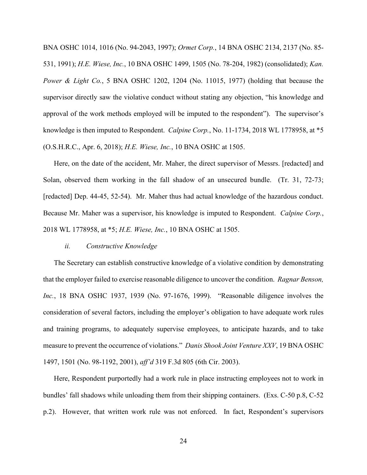BNA OSHC 1014, 1016 (No. 94-2043, 1997); *Ormet Corp.*, 14 BNA OSHC 2134, 2137 (No. 85- 531, 1991); *H.E. Wiese, Inc.*, 10 BNA OSHC 1499, 1505 (No. 78-204, 1982) (consolidated); *Kan. Power & Light Co.*, 5 BNA OSHC 1202, 1204 (No. 11015, 1977) (holding that because the supervisor directly saw the violative conduct without stating any objection, "his knowledge and approval of the work methods employed will be imputed to the respondent"). The supervisor's knowledge is then imputed to Respondent. *Calpine Corp.*, No. 11-1734, 2018 WL 1778958, at \*5 (O.S.H.R.C., Apr. 6, 2018); *H.E. Wiese, Inc.*, 10 BNA OSHC at 1505.

Here, on the date of the accident, Mr. Maher, the direct supervisor of Messrs. [redacted] and Solan, observed them working in the fall shadow of an unsecured bundle. (Tr. 31, 72-73; [redacted] Dep. 44-45, 52-54). Mr. Maher thus had actual knowledge of the hazardous conduct. Because Mr. Maher was a supervisor, his knowledge is imputed to Respondent. *Calpine Corp.*, 2018 WL 1778958, at \*5; *H.E. Wiese, Inc.*, 10 BNA OSHC at 1505.

#### *ii. Constructive Knowledge*

The Secretary can establish constructive knowledge of a violative condition by demonstrating that the employer failed to exercise reasonable diligence to uncover the condition. *Ragnar Benson, Inc.*, 18 BNA OSHC 1937, 1939 (No. 97-1676, 1999). "Reasonable diligence involves the consideration of several factors, including the employer's obligation to have adequate work rules and training programs, to adequately supervise employees, to anticipate hazards, and to take measure to prevent the occurrence of violations." *Danis Shook Joint Venture XXV*, 19 BNA OSHC 1497, 1501 (No. 98-1192, 2001), *aff'd* 319 F.3d 805 (6th Cir. 2003).

Here, Respondent purportedly had a work rule in place instructing employees not to work in bundles' fall shadows while unloading them from their shipping containers. (Exs. C-50 p.8, C-52 p.2). However, that written work rule was not enforced. In fact, Respondent's supervisors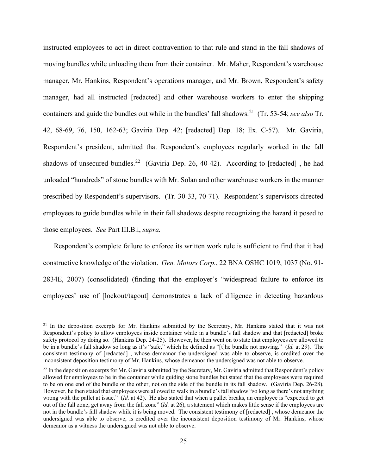instructed employees to act in direct contravention to that rule and stand in the fall shadows of moving bundles while unloading them from their container. Mr. Maher, Respondent's warehouse manager, Mr. Hankins, Respondent's operations manager, and Mr. Brown, Respondent's safety manager, had all instructed [redacted] and other warehouse workers to enter the shipping containers and guide the bundles out while in the bundles' fall shadows.[21](#page-24-0) (Tr. 53-54; *see also* Tr. 42, 68-69, 76, 150, 162-63; Gaviria Dep. 42; [redacted] Dep. 18; Ex. C-57). Mr. Gaviria, Respondent's president, admitted that Respondent's employees regularly worked in the fall shadows of unsecured bundles.<sup>[22](#page-24-1)</sup> (Gaviria Dep. 26, 40-42). According to [redacted], he had unloaded "hundreds" of stone bundles with Mr. Solan and other warehouse workers in the manner prescribed by Respondent's supervisors. (Tr. 30-33, 70-71). Respondent's supervisors directed employees to guide bundles while in their fall shadows despite recognizing the hazard it posed to those employees. *See* Part III.B.i, *supra.* 

Respondent's complete failure to enforce its written work rule is sufficient to find that it had constructive knowledge of the violation. *Gen. Motors Corp.*, 22 BNA OSHC 1019, 1037 (No. 91- 2834E, 2007) (consolidated) (finding that the employer's "widespread failure to enforce its employees' use of [lockout/tagout] demonstrates a lack of diligence in detecting hazardous

<span id="page-24-0"></span><sup>&</sup>lt;sup>21</sup> In the deposition excerpts for Mr. Hankins submitted by the Secretary, Mr. Hankins stated that it was not Respondent's policy to allow employees inside container while in a bundle's fall shadow and that [redacted] broke safety protocol by doing so. (Hankins Dep. 24-25). However, he then went on to state that employees *are* allowed to be in a bundle's fall shadow so long as it's "safe," which he defined as "[t]he bundle not moving." (*Id.* at 29). The consistent testimony of [redacted] , whose demeanor the undersigned was able to observe, is credited over the inconsistent deposition testimony of Mr. Hankins, whose demeanor the undersigned was not able to observe.

<span id="page-24-1"></span> $22$  In the deposition excerpts for Mr. Gaviria submitted by the Secretary, Mr. Gaviria admitted that Respondent's policy allowed for employees to be in the container while guiding stone bundles but stated that the employees were required to be on one end of the bundle or the other, not on the side of the bundle in its fall shadow. (Gaviria Dep. 26-28). However, he then stated that employees were allowed to walk in a bundle's fall shadow "so long as there's not anything wrong with the pallet at issue." (*Id.* at 42). He also stated that when a pallet breaks, an employee is "expected to get out of the fall zone, get away from the fall zone" (*Id.* at 26), a statement which makes little sense if the employees are not in the bundle's fall shadow while it is being moved. The consistent testimony of [redacted] , whose demeanor the undersigned was able to observe, is credited over the inconsistent deposition testimony of Mr. Hankins, whose demeanor as a witness the undersigned was not able to observe.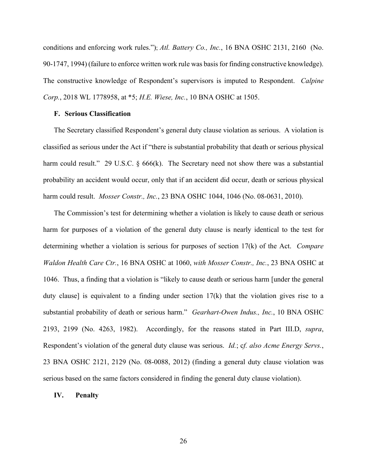conditions and enforcing work rules."); *Atl. Battery Co., Inc.*, 16 BNA OSHC 2131, 2160 (No. 90-1747, 1994) (failure to enforce written work rule was basis for finding constructive knowledge). The constructive knowledge of Respondent's supervisors is imputed to Respondent. *Calpine Corp.*, 2018 WL 1778958, at \*5; *H.E. Wiese, Inc.*, 10 BNA OSHC at 1505.

# **F. Serious Classification**

The Secretary classified Respondent's general duty clause violation as serious. A violation is classified as serious under the Act if "there is substantial probability that death or serious physical harm could result." 29 U.S.C.  $\S$  666(k). The Secretary need not show there was a substantial probability an accident would occur, only that if an accident did occur, death or serious physical harm could result. *Mosser Constr., Inc.*, 23 BNA OSHC 1044, 1046 (No. 08-0631, 2010).

The Commission's test for determining whether a violation is likely to cause death or serious harm for purposes of a violation of the general duty clause is nearly identical to the test for determining whether a violation is serious for purposes of section 17(k) of the Act. *Compare Waldon Health Care Ctr.*, 16 BNA OSHC at 1060, *with Mosser Constr., Inc.*, 23 BNA OSHC at 1046. Thus, a finding that a violation is "likely to cause death or serious harm [under the general duty clause] is equivalent to a finding under section  $17(k)$  that the violation gives rise to a substantial probability of death or serious harm." *Gearhart-Owen Indus., Inc.*, 10 BNA OSHC 2193, 2199 (No. 4263, 1982). Accordingly, for the reasons stated in Part III.D, *supra*, Respondent's violation of the general duty clause was serious. *Id.*; c*f. also Acme Energy Servs.*, 23 BNA OSHC 2121, 2129 (No. 08-0088, 2012) (finding a general duty clause violation was serious based on the same factors considered in finding the general duty clause violation).

#### **IV. Penalty**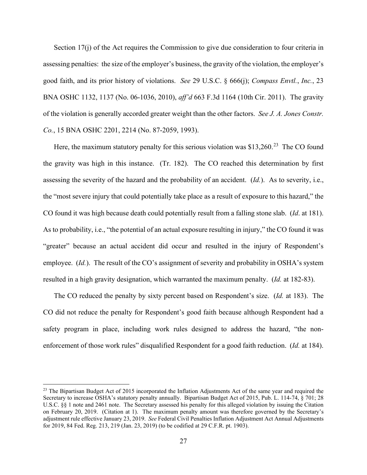Section 17(j) of the Act requires the Commission to give due consideration to four criteria in assessing penalties: the size of the employer's business, the gravity of the violation, the employer's good faith, and its prior history of violations. *See* 29 U.S.C. § 666(j); *Compass Envtl.*, *Inc.*, 23 BNA OSHC 1132, 1137 (No. 06-1036, 2010), *aff'd* 663 F.3d 1164 (10th Cir. 2011). The gravity of the violation is generally accorded greater weight than the other factors. *See J. A. Jones Constr. Co.*, 15 BNA OSHC 2201, 2214 (No. 87-2059, 1993).

Here, the maximum statutory penalty for this serious violation was \$13,260.<sup>23</sup> The CO found the gravity was high in this instance. (Tr. 182). The CO reached this determination by first assessing the severity of the hazard and the probability of an accident. (*Id.*). As to severity, i.e., the "most severe injury that could potentially take place as a result of exposure to this hazard," the CO found it was high because death could potentially result from a falling stone slab. (*Id*. at 181). As to probability, i.e., "the potential of an actual exposure resulting in injury," the CO found it was "greater" because an actual accident did occur and resulted in the injury of Respondent's employee. *(Id.)*. The result of the CO's assignment of severity and probability in OSHA's system resulted in a high gravity designation, which warranted the maximum penalty. (*Id.* at 182-83).

The CO reduced the penalty by sixty percent based on Respondent's size. (*Id.* at 183). The CO did not reduce the penalty for Respondent's good faith because although Respondent had a safety program in place, including work rules designed to address the hazard, "the nonenforcement of those work rules" disqualified Respondent for a good faith reduction. (*Id.* at 184).

<span id="page-26-0"></span> $^{23}$  The Bipartisan Budget Act of 2015 incorporated the Inflation Adjustments Act of the same year and required the Secretary to increase OSHA's statutory penalty annually. Bipartisan Budget Act of 2015, Pub. L. 114-74, § 701; 28 U.S.C. §§ 1 note and 2461 note. The Secretary assessed his penalty for this alleged violation by issuing the Citation on February 20, 2019. (Citation at 1). The maximum penalty amount was therefore governed by the Secretary's adjustment rule effective January 23, 2019. *See* Federal Civil Penalties Inflation Adjustment Act Annual Adjustments for 2019, 84 Fed. Reg. 213, 219 (Jan. 23, 2019) (to be codified at 29 C.F.R. pt. 1903).